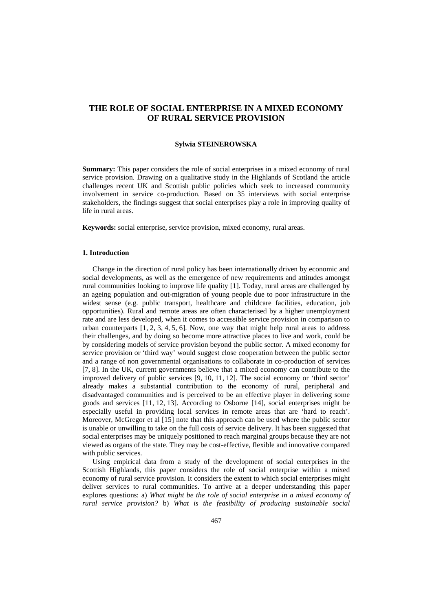# **THE ROLE OF SOCIAL ENTERPRISE IN A MIXED ECONOMY OF RURAL SERVICE PROVISION**

#### **Sylwia STEINEROWSKA**

**Summary:** This paper considers the role of social enterprises in a mixed economy of rural service provision. Drawing on a qualitative study in the Highlands of Scotland the article challenges recent UK and Scottish public policies which seek to increased community involvement in service co-production. Based on 35 interviews with social enterprise stakeholders, the findings suggest that social enterprises play a role in improving quality of life in rural areas.

**Keywords:** social enterprise, service provision, mixed economy, rural areas.

#### **1. Introduction**

Change in the direction of rural policy has been internationally driven by economic and social developments, as well as the emergence of new requirements and attitudes amongst rural communities looking to improve life quality [1]. Today, rural areas are challenged by an ageing population and out-migration of young people due to poor infrastructure in the widest sense (e.g. public transport, healthcare and childcare facilities, education, job opportunities). Rural and remote areas are often characterised by a higher unemployment rate and are less developed, when it comes to accessible service provision in comparison to urban counterparts [1, 2, 3, 4, 5, 6]. Now, one way that might help rural areas to address their challenges, and by doing so become more attractive places to live and work, could be by considering models of service provision beyond the public sector. A mixed economy for service provision or 'third way' would suggest close cooperation between the public sector and a range of non governmental organisations to collaborate in co-production of services [7, 8]. In the UK, current governments believe that a mixed economy can contribute to the improved delivery of public services [9, 10, 11, 12]. The social economy or 'third sector' already makes a substantial contribution to the economy of rural, peripheral and disadvantaged communities and is perceived to be an effective player in delivering some goods and services [11, 12, 13]. According to Osborne [14], social enterprises might be especially useful in providing local services in remote areas that are 'hard to reach'. Moreover, McGregor et al [15] note that this approach can be used where the public sector is unable or unwilling to take on the full costs of service delivery. It has been suggested that social enterprises may be uniquely positioned to reach marginal groups because they are not viewed as organs of the state. They may be cost-effective, flexible and innovative compared with public services.

Using empirical data from a study of the development of social enterprises in the Scottish Highlands, this paper considers the role of social enterprise within a mixed economy of rural service provision. It considers the extent to which social enterprises might deliver services to rural communities. To arrive at a deeper understanding this paper explores questions: a) *What might be the role of social enterprise in a mixed economy of rural service provision?* b) *What is the feasibility of producing sustainable social*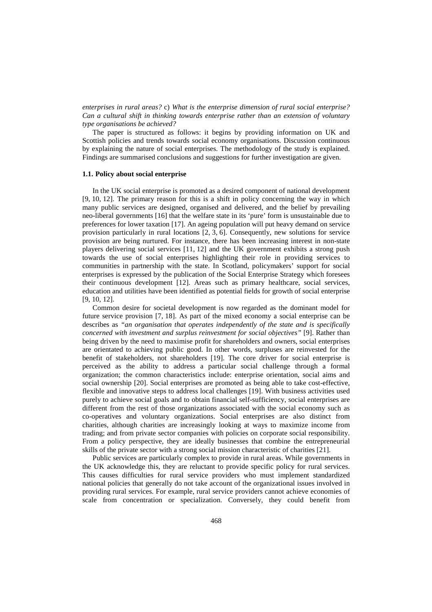*enterprises in rural areas?* c) *What is the enterprise dimension of rural social enterprise? Can a cultural shift in thinking towards enterprise rather than an extension of voluntary type organisations be achieved?* 

The paper is structured as follows: it begins by providing information on UK and Scottish policies and trends towards social economy organisations. Discussion continuous by explaining the nature of social enterprises. The methodology of the study is explained. Findings are summarised conclusions and suggestions for further investigation are given.

#### **1.1. Policy about social enterprise**

In the UK social enterprise is promoted as a desired component of national development [9, 10, 12]. The primary reason for this is a shift in policy concerning the way in which many public services are designed, organised and delivered, and the belief by prevailing neo-liberal governments [16] that the welfare state in its 'pure' form is unsustainable due to preferences for lower taxation [17]. An ageing population will put heavy demand on service provision particularly in rural locations [2, 3, 6]. Consequently, new solutions for service provision are being nurtured. For instance, there has been increasing interest in non-state players delivering social services [11, 12] and the UK government exhibits a strong push towards the use of social enterprises highlighting their role in providing services to communities in partnership with the state. In Scotland, policymakers' support for social enterprises is expressed by the publication of the Social Enterprise Strategy which foresees their continuous development [12]. Areas such as primary healthcare, social services, education and utilities have been identified as potential fields for growth of social enterprise [9, 10, 12].

Common desire for societal development is now regarded as the dominant model for future service provision [7, 18]. As part of the mixed economy a social enterprise can be describes as *"an organisation that operates independently of the state and is specifically concerned with investment and surplus reinvestment for social objectives"* [9]. Rather than being driven by the need to maximise profit for shareholders and owners, social enterprises are orientated to achieving public good. In other words, surpluses are reinvested for the benefit of stakeholders, not shareholders [19]. The core driver for social enterprise is perceived as the ability to address a particular social challenge through a formal organization; the common characteristics include: enterprise orientation, social aims and social ownership [20]. Social enterprises are promoted as being able to take cost-effective, flexible and innovative steps to address local challenges [19]. With business activities used purely to achieve social goals and to obtain financial self-sufficiency, social enterprises are different from the rest of those organizations associated with the social economy such as co-operatives and voluntary organizations. Social enterprises are also distinct from charities, although charities are increasingly looking at ways to maximize income from trading; and from private sector companies with policies on corporate social responsibility. From a policy perspective, they are ideally businesses that combine the entrepreneurial skills of the private sector with a strong social mission characteristic of charities [21].

Public services are particularly complex to provide in rural areas. While governments in the UK acknowledge this, they are reluctant to provide specific policy for rural services. This causes difficulties for rural service providers who must implement standardized national policies that generally do not take account of the organizational issues involved in providing rural services. For example, rural service providers cannot achieve economies of scale from concentration or specialization. Conversely, they could benefit from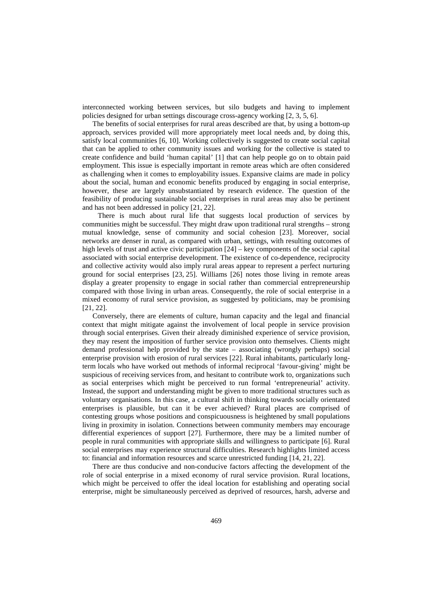interconnected working between services, but silo budgets and having to implement policies designed for urban settings discourage cross-agency working [2, 3, 5, 6].

The benefits of social enterprises for rural areas described are that, by using a bottom-up approach, services provided will more appropriately meet local needs and, by doing this, satisfy local communities [6, 10]. Working collectively is suggested to create social capital that can be applied to other community issues and working for the collective is stated to create confidence and build 'human capital' [1] that can help people go on to obtain paid employment. This issue is especially important in remote areas which are often considered as challenging when it comes to employability issues. Expansive claims are made in policy about the social, human and economic benefits produced by engaging in social enterprise, however, these are largely unsubstantiated by research evidence. The question of the feasibility of producing sustainable social enterprises in rural areas may also be pertinent and has not been addressed in policy [21, 22].

There is much about rural life that suggests local production of services by communities might be successful. They might draw upon traditional rural strengths – strong mutual knowledge, sense of community and social cohesion [23]. Moreover, social networks are denser in rural, as compared with urban, settings, with resulting outcomes of high levels of trust and active civic participation  $[24]$  – key components of the social capital associated with social enterprise development. The existence of co-dependence, reciprocity and collective activity would also imply rural areas appear to represent a perfect nurturing ground for social enterprises [23, 25]. Williams [26] notes those living in remote areas display a greater propensity to engage in social rather than commercial entrepreneurship compared with those living in urban areas. Consequently, the role of social enterprise in a mixed economy of rural service provision, as suggested by politicians, may be promising [21, 22].

Conversely, there are elements of culture, human capacity and the legal and financial context that might mitigate against the involvement of local people in service provision through social enterprises. Given their already diminished experience of service provision, they may resent the imposition of further service provision onto themselves. Clients might demand professional help provided by the state – associating (wrongly perhaps) social enterprise provision with erosion of rural services [22]. Rural inhabitants, particularly longterm locals who have worked out methods of informal reciprocal 'favour-giving' might be suspicious of receiving services from, and hesitant to contribute work to, organizations such as social enterprises which might be perceived to run formal 'entrepreneurial' activity. Instead, the support and understanding might be given to more traditional structures such as voluntary organisations. In this case, a cultural shift in thinking towards socially orientated enterprises is plausible, but can it be ever achieved? Rural places are comprised of contesting groups whose positions and conspicuousness is heightened by small populations living in proximity in isolation. Connections between community members may encourage differential experiences of support [27]. Furthermore, there may be a limited number of people in rural communities with appropriate skills and willingness to participate [6]. Rural social enterprises may experience structural difficulties. Research highlights limited access to: financial and information resources and scarce unrestricted funding [14, 21, 22].

There are thus conducive and non-conducive factors affecting the development of the role of social enterprise in a mixed economy of rural service provision. Rural locations, which might be perceived to offer the ideal location for establishing and operating social enterprise, might be simultaneously perceived as deprived of resources, harsh, adverse and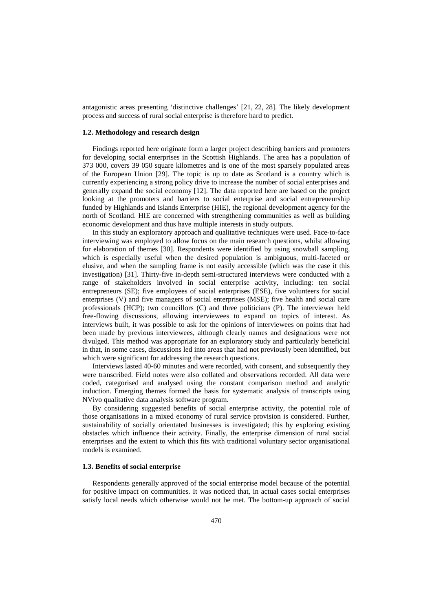antagonistic areas presenting 'distinctive challenges' [21, 22, 28]. The likely development process and success of rural social enterprise is therefore hard to predict.

### **1.2. Methodology and research design**

Findings reported here originate form a larger project describing barriers and promoters for developing social enterprises in the Scottish Highlands. The area has a population of 373 000, covers 39 050 square kilometres and is one of the most sparsely populated areas of the European Union [29]. The topic is up to date as Scotland is a country which is currently experiencing a strong policy drive to increase the number of social enterprises and generally expand the social economy [12]. The data reported here are based on the project looking at the promoters and barriers to social enterprise and social entrepreneurship funded by Highlands and Islands Enterprise (HIE), the regional development agency for the north of Scotland. HIE are concerned with strengthening communities as well as building economic development and thus have multiple interests in study outputs.

In this study an exploratory approach and qualitative techniques were used. Face-to-face interviewing was employed to allow focus on the main research questions, whilst allowing for elaboration of themes [30]. Respondents were identified by using snowball sampling, which is especially useful when the desired population is ambiguous, multi-faceted or elusive, and when the sampling frame is not easily accessible (which was the case it this investigation) [31]. Thirty-five in-depth semi-structured interviews were conducted with a range of stakeholders involved in social enterprise activity, including: ten social entrepreneurs (SE); five employees of social enterprises (ESE), five volunteers for social enterprises (V) and five managers of social enterprises (MSE); five health and social care professionals (HCP); two councillors (C) and three politicians (P). The interviewer held free-flowing discussions, allowing interviewees to expand on topics of interest. As interviews built, it was possible to ask for the opinions of interviewees on points that had been made by previous interviewees, although clearly names and designations were not divulged. This method was appropriate for an exploratory study and particularly beneficial in that, in some cases, discussions led into areas that had not previously been identified, but which were significant for addressing the research questions.

Interviews lasted 40-60 minutes and were recorded, with consent, and subsequently they were transcribed. Field notes were also collated and observations recorded. All data were coded, categorised and analysed using the constant comparison method and analytic induction. Emerging themes formed the basis for systematic analysis of transcripts using NVivo qualitative data analysis software program.

By considering suggested benefits of social enterprise activity, the potential role of those organisations in a mixed economy of rural service provision is considered. Further, sustainability of socially orientated businesses is investigated; this by exploring existing obstacles which influence their activity. Finally, the enterprise dimension of rural social enterprises and the extent to which this fits with traditional voluntary sector organisational models is examined.

#### **1.3. Benefits of social enterprise**

Respondents generally approved of the social enterprise model because of the potential for positive impact on communities. It was noticed that, in actual cases social enterprises satisfy local needs which otherwise would not be met. The bottom-up approach of social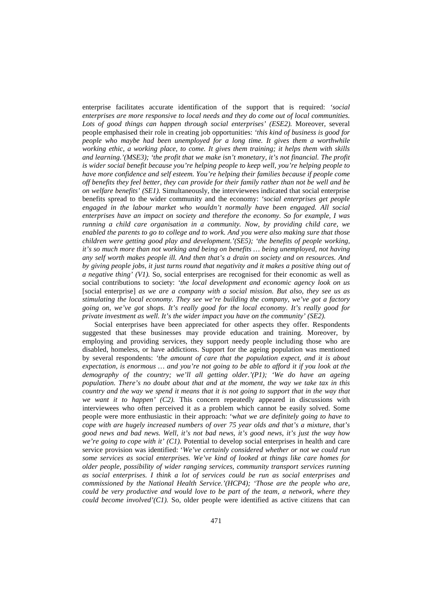enterprise facilitates accurate identification of the support that is required: *'social enterprises are more responsive to local needs and they do come out of local communities. Lots of good things can happen through social enterprises' (ESE2).* Moreover, several people emphasised their role in creating job opportunities: *'this kind of business is good for people who maybe had been unemployed for a long time. It gives them a worthwhile working ethic, a working place, to come. It gives them training; it helps them with skills and learning.'(MSE3); 'the profit that we make isn't monetary, it's not financial. The profit is wider social benefit because you're helping people to keep well, you're helping people to have more confidence and self esteem. You're helping their families because if people come off benefits they feel better, they can provide for their family rather than not be well and be on welfare benefits' (SE1).* Simultaneously, the interviewees indicated that social enterprise benefits spread to the wider community and the economy: *'social enterprises get people*  engaged in the labour market who wouldn't normally have been engaged. All social *enterprises have an impact on society and therefore the economy. So for example, I was running a child care organisation in a community. Now, by providing child care, we enabled the parents to go to college and to work. And you were also making sure that those children were getting good play and development.'(SE5); 'the benefits of people working, it's so much more than not working and being on benefits … being unemployed, not having any self worth makes people ill. And then that's a drain on society and on resources. And by giving people jobs, it just turns round that negativity and it makes a positive thing out of a negative thing' (V1).* So, social enterprises are recognised for their economic as well as social contributions to society: *'the local development and economic agency look on us*  [social enterprise] *as we are a company with a social mission. But also, they see us as stimulating the local economy. They see we're building the company, we've got a factory going on, we've got shops. It's really good for the local economy. It's really good for private investment as well. It's the wider impact you have on the community' (SE2).* 

Social enterprises have been appreciated for other aspects they offer. Respondents suggested that these businesses may provide education and training. Moreover, by employing and providing services, they support needy people including those who are disabled, homeless, or have addictions. Support for the ageing population was mentioned by several respondents: *'the amount of care that the population expect, and it is about expectation, is enormous … and you're not going to be able to afford it if you look at the demography of the country; we'll all getting older.'(P1); 'We do have an ageing population. There's no doubt about that and at the moment, the way we take tax in this country and the way we spend it means that it is not going to support that in the way that we want it to happen' (C2).* This concern repeatedly appeared in discussions with interviewees who often perceived it as a problem which cannot be easily solved. Some people were more enthusiastic in their approach: 'w*hat we are definitely going to have to cope with are hugely increased numbers of over 75 year olds and that's a mixture, that's good news and bad news. Well, it's not bad news, it's good news, it's just the way how we're going to cope with it' (C1).* Potential to develop social enterprises in health and care service provision was identified: '*We've certainly considered whether or not we could run some services as social enterprises. We've kind of looked at things like care homes for older people, possibility of wider ranging services, community transport services running as social enterprises. I think a lot of services could be run as social enterprises and commissioned by the National Health Service.'(HCP4); 'Those are the people who are, could be very productive and would love to be part of the team, a network, where they could become involved'(C1).* So, older people were identified as active citizens that can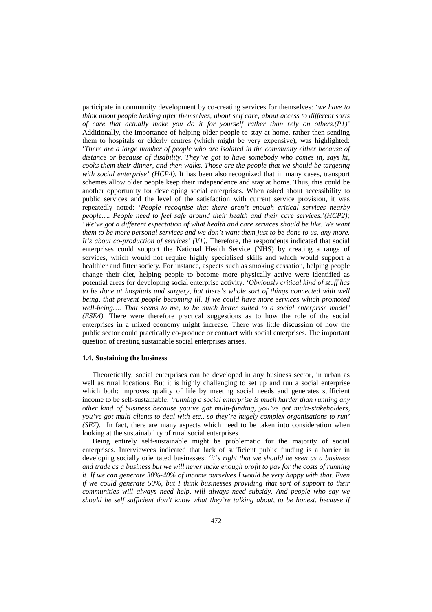participate in community development by co-creating services for themselves: '*we have to think about people looking after themselves, about self care, about access to different sorts of care that actually make you do it for yourself rather than rely on others.(P1)'* Additionally, the importance of helping older people to stay at home, rather then sending them to hospitals or elderly centres (which might be very expensive), was highlighted: '*There are a large number of people who are isolated in the community either because of distance or because of disability. They've got to have somebody who comes in, says hi, cooks them their dinner, and then walks. Those are the people that we should be targeting with social enterprise' (HCP4).* It has been also recognized that in many cases, transport schemes allow older people keep their independence and stay at home. Thus, this could be another opportunity for developing social enterprises. When asked about accessibility to public services and the level of the satisfaction with current service provision, it was repeatedly noted: *'People recognise that there aren't enough critical services nearby people…. People need to feel safe around their health and their care services.'(HCP2); 'We've got a different expectation of what health and care services should be like. We want them to be more personal services and we don't want them just to be done to us, any more. It's about co-production of services' (V1).* Therefore, the respondents indicated that social enterprises could support the National Health Service (NHS) by creating a range of services, which would not require highly specialised skills and which would support a healthier and fitter society. For instance, aspects such as smoking cessation, helping people change their diet, helping people to become more physically active were identified as potential areas for developing social enterprise activity. *'Obviously critical kind of stuff has*  to be done at hospitals and surgery, but there's whole sort of things connected with well *being, that prevent people becoming ill. If we could have more services which promoted well-being…. That seems to me, to be much better suited to a social enterprise model' (ESE4).* There were therefore practical suggestions as to how the role of the social enterprises in a mixed economy might increase. There was little discussion of how the public sector could practically co-produce or contract with social enterprises. The important question of creating sustainable social enterprises arises.

#### **1.4. Sustaining the business**

Theoretically, social enterprises can be developed in any business sector, in urban as well as rural locations. But it is highly challenging to set up and run a social enterprise which both: improves quality of life by meeting social needs and generates sufficient income to be self-sustainable: *'running a social enterprise is much harder than running any other kind of business because you've got multi-funding, you've got multi-stakeholders, you've got multi-clients to deal with etc., so they're hugely complex organisations to run' (SE7).* In fact, there are many aspects which need to be taken into consideration when looking at the sustainability of rural social enterprises.

Being entirely self-sustainable might be problematic for the majority of social enterprises. Interviewees indicated that lack of sufficient public funding is a barrier in developing socially orientated businesses: *'it's right that we should be seen as a business and trade as a business but we will never make enough profit to pay for the costs of running it. If we can generate 30%-40% of income ourselves I would be very happy with that. Even if we could generate 50%, but I think businesses providing that sort of support to their communities will always need help, will always need subsidy. And people who say we should be self sufficient don't know what they're talking about, to be honest, because if*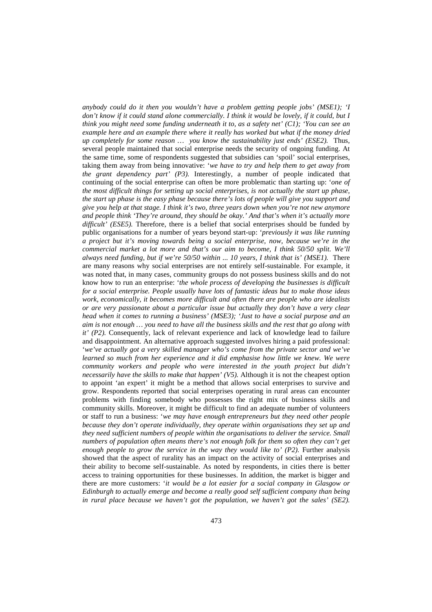*anybody could do it then you wouldn't have a problem getting people jobs' (MSE1); 'I don't know if it could stand alone commercially. I think it would be lovely, if it could, but I think you might need some funding underneath it to, as a safety net' (C1); 'You can see an example here and an example there where it really has worked but what if the money dried up completely for some reason … you know the sustainability just ends' (ESE2).* Thus, several people maintained that social enterprise needs the security of ongoing funding. At the same time, some of respondents suggested that subsidies can 'spoil' social enterprises, taking them away from being innovative: '*we have to try and help them to get away from the grant dependency part' (P3).* Interestingly, a number of people indicated that continuing of the social enterprise can often be more problematic than starting up: '*one of the most difficult things for setting up social enterprises, is not actually the start up phase, the start up phase is the easy phase because there's lots of people will give you support and give you help at that stage. I think it's two, three years down when you're not new anymore and people think 'They're around, they should be okay.' And that's when it's actually more*  difficult' (ESE5). Therefore, there is a belief that social enterprises should be funded by public organisations for a number of years beyond start-up: '*previously it was like running a project but it's moving towards being a social enterprise, now, because we're in the commercial market a lot more and that's our aim to become, I think 50/50 split. We'll always need funding, but if we're 50/50 within ... 10 years, I think that is' (MSE1).* There are many reasons why social enterprises are not entirely self-sustainable. For example, it was noted that, in many cases, community groups do not possess business skills and do not know how to run an enterprise: '*the whole process of developing the businesses is difficult for a social enterprise. People usually have lots of fantastic ideas but to make those ideas work, economically, it becomes more difficult and often there are people who are idealists or are very passionate about a particular issue but actually they don't have a very clear head when it comes to running a business' (MSE3); 'Just to have a social purpose and an aim is not enough … you need to have all the business skills and the rest that go along with it' (P2).* Consequently, lack of relevant experience and lack of knowledge lead to failure and disappointment. An alternative approach suggested involves hiring a paid professional: '*we've actually got a very skilled manager who's come from the private sector and we've learned so much from her experience and it did emphasise how little we knew. We were community workers and people who were interested in the youth project but didn't necessarily have the skills to make that happen' (V5).* Although it is not the cheapest option to appoint 'an expert' it might be a method that allows social enterprises to survive and grow. Respondents reported that social enterprises operating in rural areas can encounter problems with finding somebody who possesses the right mix of business skills and community skills. Moreover, it might be difficult to find an adequate number of volunteers or staff to run a business: '*we may have enough entrepreneurs but they need other people because they don't operate individually, they operate within organisations they set up and they need sufficient numbers of people within the organisations to deliver the service. Small numbers of population often means there's not enough folk for them so often they can't get* enough people to grow the service in the way they would like to' (P2). Further analysis showed that the aspect of rurality has an impact on the activity of social enterprises and their ability to become self-sustainable. As noted by respondents, in cities there is better access to training opportunities for these businesses. In addition, the market is bigger and there are more customers: '*it would be a lot easier for a social company in Glasgow or Edinburgh to actually emerge and become a really good self sufficient company than being in rural place because we haven't got the population, we haven't got the sales' (SE2).*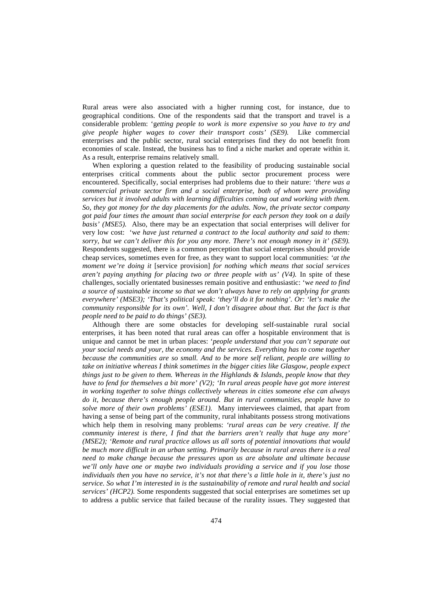Rural areas were also associated with a higher running cost, for instance, due to geographical conditions. One of the respondents said that the transport and travel is a considerable problem: 'g*etting people to work is more expensive so you have to try and give people higher wages to cover their transport costs' (SE9).* Like commercial enterprises and the public sector, rural social enterprises find they do not benefit from economies of scale. Instead, the business has to find a niche market and operate within it. As a result, enterprise remains relatively small.

When exploring a question related to the feasibility of producing sustainable social enterprises critical comments about the public sector procurement process were encountered. Specifically, social enterprises had problems due to their nature: *'there was a commercial private sector firm and a social enterprise, both of whom were providing services but it involved adults with learning difficulties coming out and working with them. So, they got money for the day placements for the adults. Now, the private sector company got paid four times the amount than social enterprise for each person they took on a daily basis' (MSE5).* Also, there may be an expectation that social enterprises will deliver for very low cost: 'w*e have just returned a contract to the local authority and said to them: sorry, but we can't deliver this for you any more. There's not enough money in it' (SE9).*  Respondents suggested, there is a common perception that social enterprises should provide cheap services, sometimes even for free, as they want to support local communities: *'at the moment we're doing it* [service provision] *for nothing which means that social services aren't paying anything for placing two or three people with us' (V4).* In spite of these challenges, socially orientated businesses remain positive and enthusiastic: 'w*e need to find a source of sustainable income so that we don't always have to rely on applying for grants everywhere' (MSE3); 'That's political speak: 'they'll do it for nothing'. Or: 'let's make the community responsible for its own'. Well, I don't disagree about that. But the fact is that people need to be paid to do things' (SE3).* 

Although there are some obstacles for developing self-sustainable rural social enterprises, it has been noted that rural areas can offer a hospitable environment that is unique and cannot be met in urban places: '*people understand that you can't separate out your social needs and your, the economy and the services. Everything has to come together because the communities are so small. And to be more self reliant, people are willing to take on initiative whereas I think sometimes in the bigger cities like Glasgow, people expect things just to be given to them. Whereas in the Highlands & Islands, people know that they have to fend for themselves a bit more' (V2); 'In rural areas people have got more interest in working together to solve things collectively whereas in cities someone else can always do it, because there's enough people around. But in rural communities, people have to solve more of their own problems' (ESE1).* Many interviewees claimed, that apart from having a sense of being part of the community, rural inhabitants possess strong motivations which help them in resolving many problems: *'rural areas can be very creative. If the community interest is there, I find that the barriers aren't really that huge any more' (MSE2); 'Remote and rural practice allows us all sorts of potential innovations that would be much more difficult in an urban setting. Primarily because in rural areas there is a real need to make change because the pressures upon us are absolute and ultimate because we'll only have one or maybe two individuals providing a service and if you lose those individuals then you have no service, it's not that there's a little hole in it, there's just no service. So what I'm interested in is the sustainability of remote and rural health and social services' (HCP2).* Some respondents suggested that social enterprises are sometimes set up to address a public service that failed because of the rurality issues. They suggested that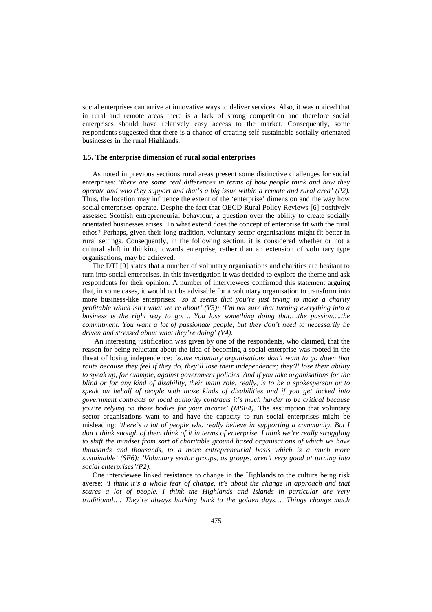social enterprises can arrive at innovative ways to deliver services. Also, it was noticed that in rural and remote areas there is a lack of strong competition and therefore social enterprises should have relatively easy access to the market. Consequently, some respondents suggested that there is a chance of creating self-sustainable socially orientated businesses in the rural Highlands.

## **1.5. The enterprise dimension of rural social enterprises**

As noted in previous sections rural areas present some distinctive challenges for social enterprises: *'there are some real differences in terms of how people think and how they operate and who they support and that's a big issue within a remote and rural area' (P2).* Thus, the location may influence the extent of the 'enterprise' dimension and the way how social enterprises operate. Despite the fact that OECD Rural Policy Reviews [6] positively assessed Scottish entrepreneurial behaviour, a question over the ability to create socially orientated businesses arises. To what extend does the concept of enterprise fit with the rural ethos? Perhaps, given their long tradition, voluntary sector organisations might fit better in rural settings. Consequently, in the following section, it is considered whether or not a cultural shift in thinking towards enterprise, rather than an extension of voluntary type organisations, may be achieved.

The DTI [9] states that a number of voluntary organisations and charities are hesitant to turn into social enterprises. In this investigation it was decided to explore the theme and ask respondents for their opinion. A number of interviewees confirmed this statement arguing that, in some cases, it would not be advisable for a voluntary organisation to transform into more business-like enterprises: *'so it seems that you're just trying to make a charity profitable which isn't what we're about' (V3); 'I'm not sure that turning everything into a business is the right way to go…. You lose something doing that….the passion….the commitment. You want a lot of passionate people, but they don't need to necessarily be driven and stressed about what they're doing' (V4).*

An interesting justification was given by one of the respondents, who claimed, that the reason for being reluctant about the idea of becoming a social enterprise was rooted in the threat of losing independence: *'some voluntary organisations don't want to go down that route because they feel if they do, they'll lose their independence; they'll lose their ability to speak up, for example, against government policies. And if you take organisations for the blind or for any kind of disability, their main role, really, is to be a spokesperson or to speak on behalf of people with those kinds of disabilities and if you get locked into government contracts or local authority contracts it's much harder to be critical because you're relying on those bodies for your income' (MSE4).* The assumption that voluntary sector organisations want to and have the capacity to run social enterprises might be misleading: *'there's a lot of people who really believe in supporting a community. But I don't think enough of them think of it in terms of enterprise. I think we're really struggling*  to shift the mindset from sort of charitable ground based organisations of which we have *thousands and thousands, to a more entrepreneurial basis which is a much more sustainable' (SE6); 'Voluntary sector groups, as groups, aren't very good at turning into social enterprises'(P2).* 

One interviewee linked resistance to change in the Highlands to the culture being risk averse: *'I think it's a whole fear of change, it's about the change in approach and that scares a lot of people. I think the Highlands and Islands in particular are very traditional…. They're always harking back to the golden days…. Things change much*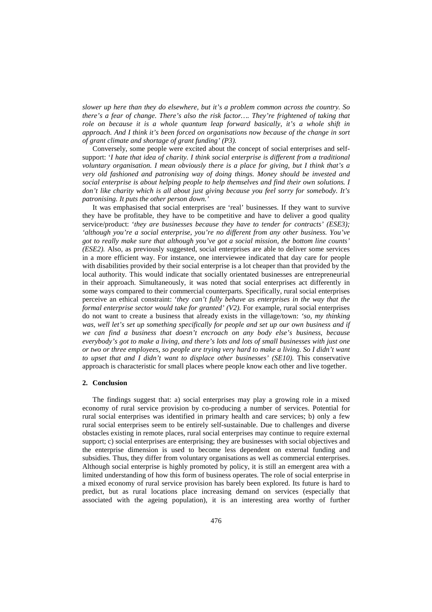*slower up here than they do elsewhere, but it's a problem common across the country. So there's a fear of change. There's also the risk factor…. They're frightened of taking that role on because it is a whole quantum leap forward basically, it's a whole shift in approach. And I think it's been forced on organisations now because of the change in sort of grant climate and shortage of grant funding' (P3).* 

Conversely, some people were excited about the concept of social enterprises and selfsupport: '*I hate that idea of charity. I think social enterprise is different from a traditional voluntary organisation. I mean obviously there is a place for giving, but I think that's a very old fashioned and patronising way of doing things. Money should be invested and social enterprise is about helping people to help themselves and find their own solutions. I don't like charity which is all about just giving because you feel sorry for somebody. It's patronising. It puts the other person down.'* 

It was emphasised that social enterprises are 'real' businesses. If they want to survive they have be profitable, they have to be competitive and have to deliver a good quality service/product: '*they are businesses because they have to tender for contracts' (ESE3); 'although you're a social enterprise, you're no different from any other business. You've got to really make sure that although you've got a social mission, the bottom line counts' (ESE2).* Also, as previously suggested, social enterprises are able to deliver some services in a more efficient way. For instance, one interviewee indicated that day care for people with disabilities provided by their social enterprise is a lot cheaper than that provided by the local authority*.* This would indicate that socially orientated businesses are entrepreneurial in their approach. Simultaneously, it was noted that social enterprises act differently in some ways compared to their commercial counterparts. Specifically, rural social enterprises perceive an ethical constraint: '*they can't fully behave as enterprises in the way that the formal enterprise sector would take for granted' (V2).* For example, rural social enterprises do not want to create a business that already exists in the village/town: *'so, my thinking*  was, well let's set up something specifically for people and set up our own business and if *we can find a business that doesn't encroach on any body else's business, because everybody's got to make a living, and there's lots and lots of small businesses with just one or two or three employees, so people are trying very hard to make a living. So I didn't want to upset that and I didn't want to displace other businesses' (SE10).* This conservative approach is characteristic for small places where people know each other and live together.

#### **2. Conclusion**

The findings suggest that: a) social enterprises may play a growing role in a mixed economy of rural service provision by co-producing a number of services. Potential for rural social enterprises was identified in primary health and care services; b) only a few rural social enterprises seem to be entirely self-sustainable. Due to challenges and diverse obstacles existing in remote places, rural social enterprises may continue to require external support; c) social enterprises are enterprising; they are businesses with social objectives and the enterprise dimension is used to become less dependent on external funding and subsidies. Thus, they differ from voluntary organisations as well as commercial enterprises. Although social enterprise is highly promoted by policy, it is still an emergent area with a limited understanding of how this form of business operates. The role of social enterprise in a mixed economy of rural service provision has barely been explored. Its future is hard to predict, but as rural locations place increasing demand on services (especially that associated with the ageing population), it is an interesting area worthy of further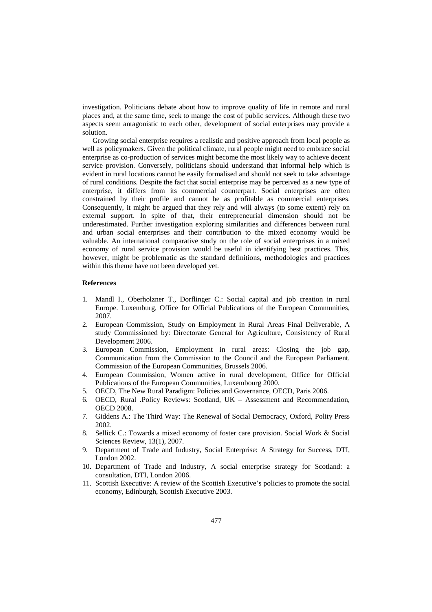investigation. Politicians debate about how to improve quality of life in remote and rural places and, at the same time, seek to mange the cost of public services. Although these two aspects seem antagonistic to each other, development of social enterprises may provide a solution.

Growing social enterprise requires a realistic and positive approach from local people as well as policymakers. Given the political climate, rural people might need to embrace social enterprise as co-production of services might become the most likely way to achieve decent service provision. Conversely, politicians should understand that informal help which is evident in rural locations cannot be easily formalised and should not seek to take advantage of rural conditions. Despite the fact that social enterprise may be perceived as a new type of enterprise, it differs from its commercial counterpart. Social enterprises are often constrained by their profile and cannot be as profitable as commercial enterprises. Consequently, it might be argued that they rely and will always (to some extent) rely on external support. In spite of that, their entrepreneurial dimension should not be underestimated. Further investigation exploring similarities and differences between rural and urban social enterprises and their contribution to the mixed economy would be valuable. An international comparative study on the role of social enterprises in a mixed economy of rural service provision would be useful in identifying best practices. This, however, might be problematic as the standard definitions, methodologies and practices within this theme have not been developed yet.

#### **References**

- 1. Mandl I., Oberholzner T., Dorflinger C.: Social capital and job creation in rural Europe. Luxemburg, Office for Official Publications of the European Communities, 2007.
- 2. European Commission, Study on Employment in Rural Areas Final Deliverable, A study Commissioned by: Directorate General for Agriculture, Consistency of Rural Development 2006.
- 3. European Commission, Employment in rural areas: Closing the job gap, Communication from the Commission to the Council and the European Parliament. Commission of the European Communities, Brussels 2006.
- 4. European Commission, Women active in rural development, Office for Official Publications of the European Communities, Luxembourg 2000.
- 5. OECD, The New Rural Paradigm: Policies and Governance, OECD, Paris 2006.
- 6. OECD, Rural .Policy Reviews: Scotland, UK Assessment and Recommendation, OECD 2008.
- 7. Giddens A.: The Third Way: The Renewal of Social Democracy, Oxford, Polity Press 2002.
- 8. Sellick C.: Towards a mixed economy of foster care provision. Social Work & Social Sciences Review, 13(1), 2007.
- 9. Department of Trade and Industry, Social Enterprise: A Strategy for Success, DTI, London 2002.
- 10. Department of Trade and Industry, A social enterprise strategy for Scotland: a consultation, DTI, London 2006.
- 11. Scottish Executive: A review of the Scottish Executive's policies to promote the social economy, Edinburgh, Scottish Executive 2003.